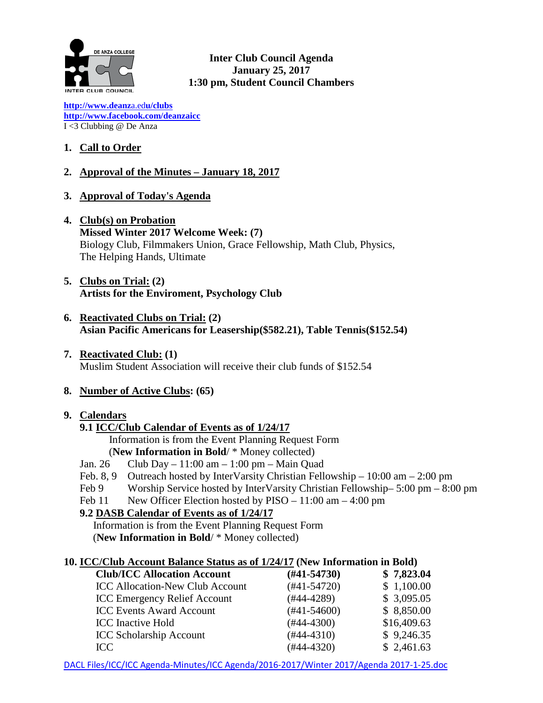

**Inter Club Council Agenda January 25, 2017 1:30 pm, Student Council Chambers** 

**[http://www.deanz](http://www.deanza.edu/clubs)**[a.ed](http://www.deanza.edu/clubs)**[u/clubs](http://www.deanza.edu/clubs) [http://www.facebook.com/deanzaicc](http://www.facebook.com/home.php#!/group.php?gid=59034552686)** I <3 Clubbing @ De Anza

## **1. Call to Order**

## **2. Approval of the Minutes – January 18, 2017**

- **3. Approval of Today's Agenda**
- **4. Club(s) on Probation Missed Winter 2017 Welcome Week: (7)** Biology Club, Filmmakers Union, Grace Fellowship, Math Club, Physics, The Helping Hands, Ultimate

### **5. Clubs on Trial: (2) Artists for the Enviroment, Psychology Club**

- **6. Reactivated Clubs on Trial: (2) Asian Pacific Americans for Leasership(\$582.21), Table Tennis(\$152.54)**
- **7. Reactivated Club: (1)** Muslim Student Association will receive their club funds of \$152.54

#### **8. Number of Active Clubs: (65)**

#### **9. Calendars**

## **9.1 ICC/Club Calendar of Events as of 1/24/17**

Information is from the Event Planning Request Form

- (**New Information in Bold**/ \* Money collected)
- Jan. 26 Club Day 11:00 am 1:00 pm Main Quad
- Feb. 8, 9 Outreach hosted by InterVarsity Christian Fellowship 10:00 am 2:00 pm
- Feb 9 Worship Service hosted by InterVarsity Christian Fellowship– 5:00 pm 8:00 pm
- Feb 11 New Officer Election hosted by PISO 11:00 am 4:00 pm

## **9.2 DASB Calendar of Events as of 1/24/17**

Information is from the Event Planning Request Form (**New Information in Bold**/ \* Money collected)

## **10. ICC/Club Account Balance Status as of 1/24/17 (New Information in Bold)**

| <b>Club/ICC Allocation Account</b>     | $(\#41 - 54730)$ | \$7,823.04  |
|----------------------------------------|------------------|-------------|
| <b>ICC Allocation-New Club Account</b> | $(#41-54720)$    | \$1,100.00  |
| <b>ICC Emergency Relief Account</b>    | $(#44-4289)$     | \$3,095.05  |
| <b>ICC Events Award Account</b>        | $(\#41 - 54600)$ | \$8,850.00  |
| <b>ICC</b> Inactive Hold               | $(#44-4300)$     | \$16,409.63 |
| <b>ICC Scholarship Account</b>         | $(#44-4310)$     | \$9,246.35  |
| ICC.                                   | $(#44-4320)$     | \$2,461.63  |
|                                        |                  |             |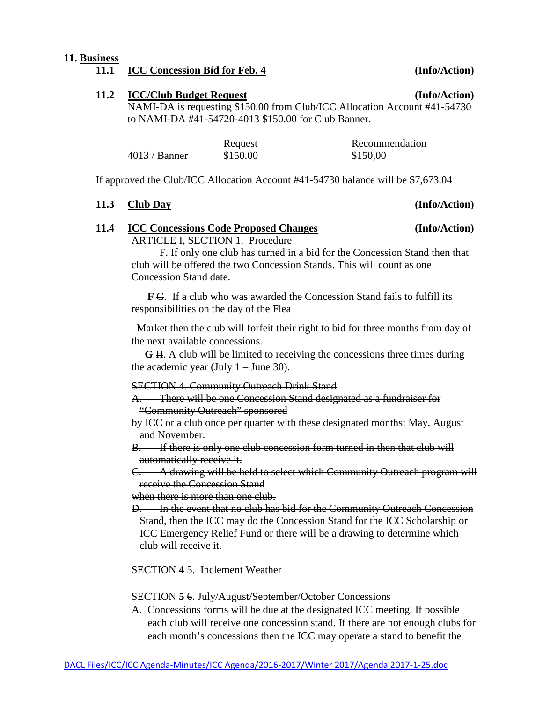#### **11. Business**

# **11.2 ICC/Club Budget Request (Info/Action)**

NAMI-DA is requesting \$150.00 from Club/ICC Allocation Account #41-54730 to NAMI-DA #41-54720-4013 \$150.00 for Club Banner.

|                 | Request  | Recommendation |
|-----------------|----------|----------------|
| $4013 /$ Banner | \$150.00 | \$150,00       |

If approved the Club/ICC Allocation Account #41-54730 balance will be \$7,673.04

### **11.3 Club Day (Info/Action)**

**11.4 ICC Concessions Code Proposed Changes (Info/Action)** ARTICLE I, SECTION 1. Procedure

F. If only one club has turned in a bid for the Concession Stand then that club will be offered the two Concession Stands. This will count as one Concession Stand date.

 **F** G. If a club who was awarded the Concession Stand fails to fulfill its responsibilities on the day of the Flea

 Market then the club will forfeit their right to bid for three months from day of the next available concessions.

 **G** H. A club will be limited to receiving the concessions three times during the academic year (July  $1 -$  June 30).

#### SECTION 4. Community Outreach Drink Stand

A. There will be one Concession Stand designated as a fundraiser for "Community Outreach" sponsored

by ICC or a club once per quarter with these designated months: May, August and November.

B. If there is only one club concession form turned in then that club will automatically receive it.

C. A drawing will be held to select which Community Outreach program will receive the Concession Stand

when there is more than one club.

D. In the event that no club has bid for the Community Outreach Concession Stand, then the ICC may do the Concession Stand for the ICC Scholarship or ICC Emergency Relief Fund or there will be a drawing to determine which club will receive it.

SECTION **4** 5. Inclement Weather

SECTION **5** 6. July/August/September/October Concessions

A. Concessions forms will be due at the designated ICC meeting. If possible each club will receive one concession stand. If there are not enough clubs for each month's concessions then the ICC may operate a stand to benefit the

**11.1 (Info/Action)**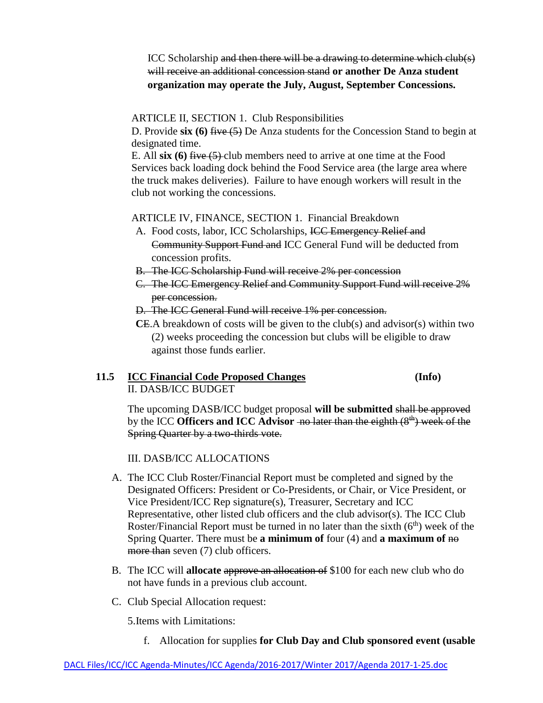ICC Scholarship and then there will be a drawing to determine which club(s) will receive an additional concession stand **or another De Anza student organization may operate the July, August, September Concessions.**

### ARTICLE II, SECTION 1. Club Responsibilities

D. Provide **six (6)** five (5) De Anza students for the Concession Stand to begin at designated time.

E. All **six (6)** five (5) club members need to arrive at one time at the Food Services back loading dock behind the Food Service area (the large area where the truck makes deliveries). Failure to have enough workers will result in the club not working the concessions.

### ARTICLE IV, FINANCE, SECTION 1. Financial Breakdown

- A. Food costs, labor, ICC Scholarships, ICC Emergency Relief and Community Support Fund and ICC General Fund will be deducted from concession profits.
- B. The ICC Scholarship Fund will receive 2% per concession
- C. The ICC Emergency Relief and Community Support Fund will receive 2% per concession.
- D. The ICC General Fund will receive 1% per concession.
- **C**E.A breakdown of costs will be given to the club(s) and advisor(s) within two (2) weeks proceeding the concession but clubs will be eligible to draw against those funds earlier.

## **11.5 ICC Financial Code Proposed Changes (Info)** II. DASB/ICC BUDGET

The upcoming DASB/ICC budget proposal **will be submitted** shall be approved by the ICC **Officers and ICC Advisor** - no later than the eighth  $(8<sup>th</sup>)$  week of the Spring Quarter by a two-thirds vote.

III. DASB/ICC ALLOCATIONS

- A. The ICC Club Roster/Financial Report must be completed and signed by the Designated Officers: President or Co-Presidents, or Chair, or Vice President, or Vice President/ICC Rep signature(s), Treasurer, Secretary and ICC Representative, other listed club officers and the club advisor(s). The ICC Club Roster/Financial Report must be turned in no later than the sixth  $(6<sup>th</sup>)$  week of the Spring Quarter. There must be **a minimum of** four (4) and **a maximum of** no more than seven (7) club officers.
- B. The ICC will **allocate** approve an allocation of \$100 for each new club who do not have funds in a previous club account.
- C. Club Special Allocation request:

5.Items with Limitations:

f. Allocation for supplies **for Club Day and Club sponsored event (usable**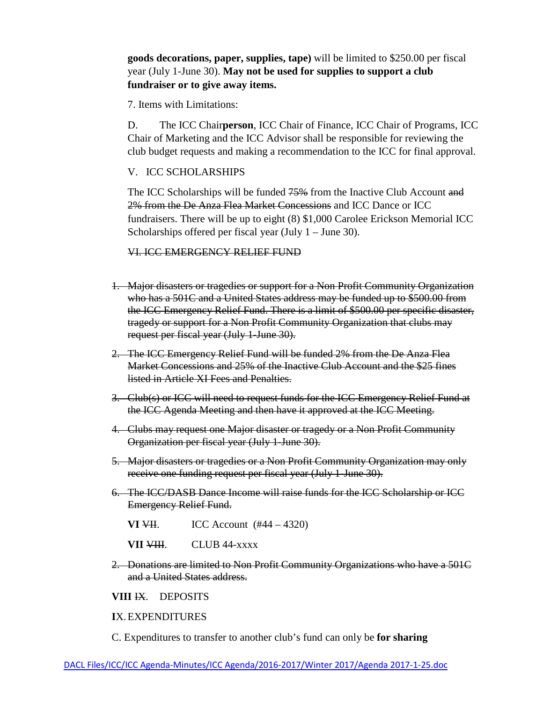## **goods decorations, paper, supplies, tape)** will be limited to \$250.00 per fiscal year (July 1-June 30). **May not be used for supplies to support a club fundraiser or to give away items.**

7. Items with Limitations:

D. The ICC Chair**person**, ICC Chair of Finance, ICC Chair of Programs, ICC Chair of Marketing and the ICC Advisor shall be responsible for reviewing the club budget requests and making a recommendation to the ICC for final approval.

### V. ICC SCHOLARSHIPS

The ICC Scholarships will be funded  $75%$  from the Inactive Club Account and 2% from the De Anza Flea Market Concessions and ICC Dance or ICC fundraisers. There will be up to eight (8) \$1,000 Carolee Erickson Memorial ICC Scholarships offered per fiscal year (July  $1 -$  June 30).

#### VI. ICC EMERGENCY RELIEF FUND

- 1. Major disasters or tragedies or support for a Non Profit Community Organization who has a 501C and a United States address may be funded up to \$500.00 from the ICC Emergency Relief Fund. There is a limit of \$500.00 per specific disaster, tragedy or support for a Non Profit Community Organization that clubs may request per fiscal year (July 1-June 30).
- 2. The ICC Emergency Relief Fund will be funded 2% from the De Anza Flea Market Concessions and 25% of the Inactive Club Account and the \$25 fines listed in Article XI Fees and Penalties.
- 3. Club(s) or ICC will need to request funds for the ICC Emergency Relief Fund at the ICC Agenda Meeting and then have it approved at the ICC Meeting.
- 4. Clubs may request one Major disaster or tragedy or a Non Profit Community Organization per fiscal year (July 1-June 30).
- 5. Major disasters or tragedies or a Non Profit Community Organization may only receive one funding request per fiscal year (July 1-June 30).
- 6. The ICC/DASB Dance Income will raise funds for the ICC Scholarship or ICC Emergency Relief Fund.
	- **VI**  $\overline{V}$ **I.** ICC Account (#44 4320)
	- **VII VIII.** CLUB 44-xxxx
- 2. Donations are limited to Non Profit Community Organizations who have a 501C and a United States address.

#### **VIII** IX. DEPOSITS

#### **I**X.EXPENDITURES

C. Expenditures to transfer to another club's fund can only be **for sharing**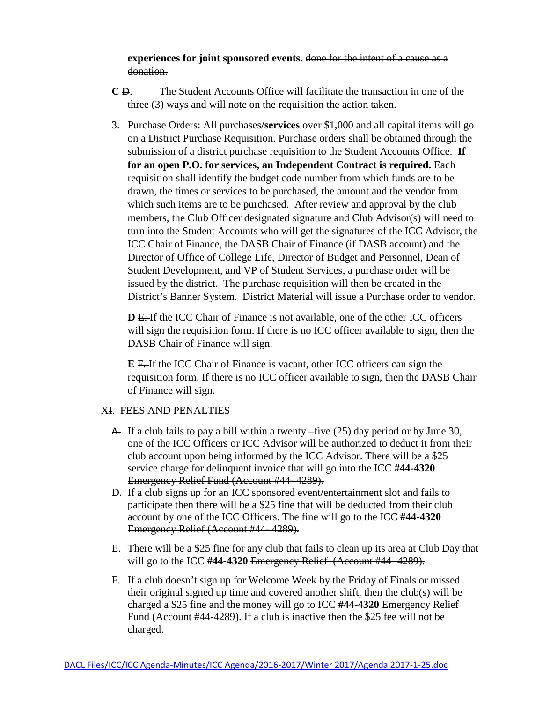**experiences for joint sponsored events.** done for the intent of a cause as a donation.

- **C** D. The Student Accounts Office will facilitate the transaction in one of the three (3) ways and will note on the requisition the action taken.
- 3. Purchase Orders: All purchases**/services** over \$1,000 and all capital items will go on a District Purchase Requisition. Purchase orders shall be obtained through the submission of a district purchase requisition to the Student Accounts Office. **If for an open P.O. for services, an Independent Contract is required.** Each requisition shall identify the budget code number from which funds are to be drawn, the times or services to be purchased, the amount and the vendor from which such items are to be purchased. After review and approval by the club members, the Club Officer designated signature and Club Advisor(s) will need to turn into the Student Accounts who will get the signatures of the ICC Advisor, the ICC Chair of Finance, the DASB Chair of Finance (if DASB account) and the Director of Office of College Life, Director of Budget and Personnel, Dean of Student Development, and VP of Student Services, a purchase order will be issued by the district. The purchase requisition will then be created in the District's Banner System. District Material will issue a Purchase order to vendor.

**D** E. If the ICC Chair of Finance is not available, one of the other ICC officers will sign the requisition form. If there is no ICC officer available to sign, then the DASB Chair of Finance will sign.

**E** F. If the ICC Chair of Finance is vacant, other ICC officers can sign the requisition form. If there is no ICC officer available to sign, then the DASB Chair of Finance will sign.

## XI. FEES AND PENALTIES

- $\overline{A}$ . If a club fails to pay a bill within a twenty –five (25) day period or by June 30, one of the ICC Officers or ICC Advisor will be authorized to deduct it from their club account upon being informed by the ICC Advisor. There will be a \$25 service charge for delinquent invoice that will go into the ICC **#44-4320** Emergency Relief Fund (Account #44- 4289).
- D. If a club signs up for an ICC sponsored event**/**entertainment slot and fails to participate then there will be a \$25 fine that will be deducted from their club account by one of the ICC Officers. The fine will go to the ICC **#44-4320** Emergency Relief (Account #44- 4289).
- E. There will be a \$25 fine for any club that fails to clean up its area at Club Day that will go to the ICC #44-4320 Emergency Relief (Account #44-4289).
- F. If a club doesn't sign up for Welcome Week by the Friday of Finals or missed their original signed up time and covered another shift, then the club(s) will be charged a \$25 fine and the money will go to ICC **#44-4320** Emergency Relief Fund (Account #44-4289). If a club is inactive then the \$25 fee will not be charged.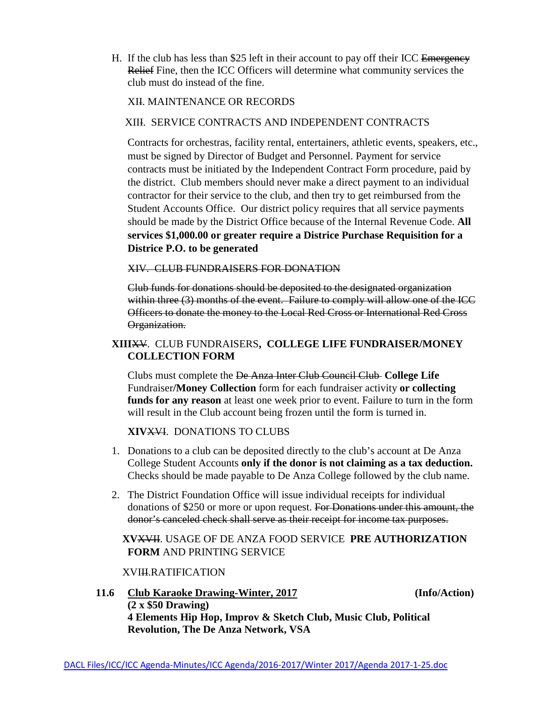H. If the club has less than \$25 left in their account to pay off their ICC Emergency Relief Fine, then the ICC Officers will determine what community services the club must do instead of the fine.

#### XII. MAINTENANCE OR RECORDS

#### XIII. SERVICE CONTRACTS AND INDEPENDENT CONTRACTS

Contracts for orchestras, facility rental, entertainers, athletic events, speakers, etc., must be signed by Director of Budget and Personnel. Payment for service contracts must be initiated by the Independent Contract Form procedure, paid by the district. Club members should never make a direct payment to an individual contractor for their service to the club, and then try to get reimbursed from the Student Accounts Office. Our district policy requires that all service payments should be made by the District Office because of the Internal Revenue Code. **All services \$1,000.00 or greater require a Districe Purchase Requisition for a Districe P.O. to be generated**

#### XIV. CLUB FUNDRAISERS FOR DONATION

 Club funds for donations should be deposited to the designated organization within three (3) months of the event. Failure to comply will allow one of the ICC Officers to donate the money to the Local Red Cross or International Red Cross Organization.

## **XIII**XV. CLUB FUNDRAISERS**, COLLEGE LIFE FUNDRAISER/MONEY COLLECTION FORM**

Clubs must complete the De Anza Inter Club Council Club **College Life**  Fundraiser**/Money Collection** form for each fundraiser activity **or collecting funds for any reason** at least one week prior to event. Failure to turn in the form will result in the Club account being frozen until the form is turned in.

## **XIV**XVI. DONATIONS TO CLUBS

- 1. Donations to a club can be deposited directly to the club's account at De Anza College Student Accounts **only if the donor is not claiming as a tax deduction.** Checks should be made payable to De Anza College followed by the club name.
- 2. The District Foundation Office will issue individual receipts for individual donations of \$250 or more or upon request. For Donations under this amount, the donor's canceled check shall serve as their receipt for income tax purposes.

## **XV**XVII. USAGE OF DE ANZA FOOD SERVICE **PRE AUTHORIZATION FORM** AND PRINTING SERVICE

#### XVIII.RATIFICATION

**11.6 Club Karaoke Drawing-Winter, 2017 (Info/Action) (2 x \$50 Drawing) 4 Elements Hip Hop, Improv & Sketch Club, Music Club, Political Revolution, The De Anza Network, VSA**